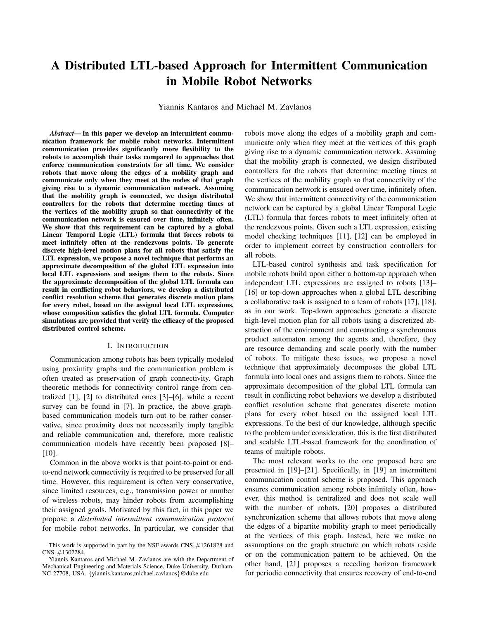# A Distributed LTL-based Approach for Intermittent Communication in Mobile Robot Networks

Yiannis Kantaros and Michael M. Zavlanos

*Abstract*— In this paper we develop an intermittent communication framework for mobile robot networks. Intermittent communication provides significantly more flexibility to the robots to accomplish their tasks compared to approaches that enforce communication constraints for all time. We consider robots that move along the edges of a mobility graph and communicate only when they meet at the nodes of that graph giving rise to a dynamic communication network. Assuming that the mobility graph is connected, we design distributed controllers for the robots that determine meeting times at the vertices of the mobility graph so that connectivity of the communication network is ensured over time, infinitely often. We show that this requirement can be captured by a global Linear Temporal Logic (LTL) formula that forces robots to meet infinitely often at the rendezvous points. To generate discrete high-level motion plans for all robots that satisfy the LTL expression, we propose a novel technique that performs an approximate decomposition of the global LTL expression into local LTL expressions and assigns them to the robots. Since the approximate decomposition of the global LTL formula can result in conflicting robot behaviors, we develop a distributed conflict resolution scheme that generates discrete motion plans for every robot, based on the assigned local LTL expressions, whose composition satisfies the global LTL formula. Computer simulations are provided that verify the efficacy of the proposed distributed control scheme.

## I. INTRODUCTION

Communication among robots has been typically modeled using proximity graphs and the communication problem is often treated as preservation of graph connectivity. Graph theoretic methods for connectivity control range from centralized [1], [2] to distributed ones [3]–[6], while a recent survey can be found in [7]. In practice, the above graphbased communication models turn out to be rather conservative, since proximity does not necessarily imply tangible and reliable communication and, therefore, more realistic communication models have recently been proposed [8]– [10].

Common in the above works is that point-to-point or endto-end network connectivity is required to be preserved for all time. However, this requirement is often very conservative, since limited resources, e.g., transmission power or number of wireless robots, may hinder robots from accomplishing their assigned goals. Motivated by this fact, in this paper we propose a *distributed intermittent communication protocol* for mobile robot networks. In particular, we consider that robots move along the edges of a mobility graph and communicate only when they meet at the vertices of this graph giving rise to a dynamic communication network. Assuming that the mobility graph is connected, we design distributed controllers for the robots that determine meeting times at the vertices of the mobility graph so that connectivity of the communication network is ensured over time, infinitely often. We show that intermittent connectivity of the communication network can be captured by a global Linear Temporal Logic (LTL) formula that forces robots to meet infinitely often at the rendezvous points. Given such a LTL expression, existing model checking techniques [11], [12] can be employed in order to implement correct by construction controllers for all robots.

LTL-based control synthesis and task specification for mobile robots build upon either a bottom-up approach when independent LTL expressions are assigned to robots [13]– [16] or top-down approaches when a global LTL describing a collaborative task is assigned to a team of robots [17], [18], as in our work. Top-down approaches generate a discrete high-level motion plan for all robots using a discretized abstraction of the environment and constructing a synchronous product automaton among the agents and, therefore, they are resource demanding and scale poorly with the number of robots. To mitigate these issues, we propose a novel technique that approximately decomposes the global LTL formula into local ones and assigns them to robots. Since the approximate decomposition of the global LTL formula can result in conflicting robot behaviors we develop a distributed conflict resolution scheme that generates discrete motion plans for every robot based on the assigned local LTL expressions. To the best of our knowledge, although specific to the problem under consideration, this is the first distributed and scalable LTL-based framework for the coordination of teams of multiple robots.

The most relevant works to the one proposed here are presented in [19]–[21]. Specifically, in [19] an intermittent communication control scheme is proposed. This approach ensures communication among robots infinitely often, however, this method is centralized and does not scale well with the number of robots. [20] proposes a distributed synchronization scheme that allows robots that move along the edges of a bipartite mobility graph to meet periodically at the vertices of this graph. Instead, here we make no assumptions on the graph structure on which robots reside or on the communication pattern to be achieved. On the other hand, [21] proposes a receding horizon framework for periodic connectivity that ensures recovery of end-to-end

This work is supported in part by the NSF awards CNS #1261828 and CNS #1302284.

Yiannis Kantaros and Michael M. Zavlanos are with the Department of Mechanical Engineering and Materials Science, Duke University, Durham, NC 27708, USA. {yiannis.kantaros,michael.zavlanos}@duke.edu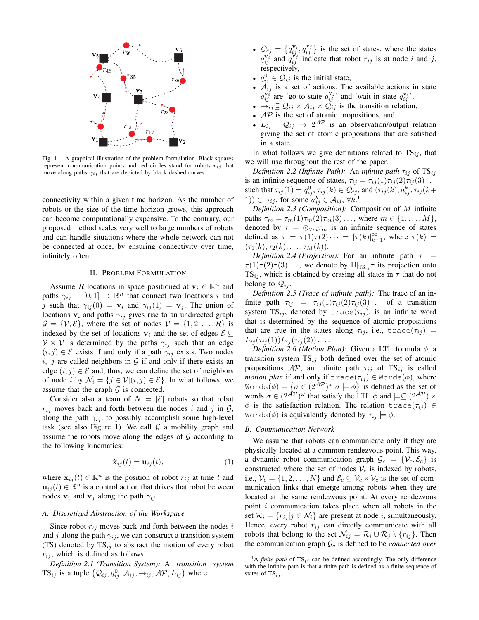

Fig. 1. A graphical illustration of the problem formulation. Black squares represent communication points and red circles stand for robots  $r_{ij}$  that move along paths  $\gamma_{ij}$  that are depicted by black dashed curves.

connectivity within a given time horizon. As the number of robots or the size of the time horizon grows, this approach can become computationally expensive. To the contrary, our proposed method scales very well to large numbers of robots and can handle situations where the whole network can not be connected at once, by ensuring connectivity over time, infinitely often.

### II. PROBLEM FORMULATION

Assume R locations in space positioned at  $v_i \in \mathbb{R}^n$  and paths  $\gamma_{ij} : [0,1] \to \mathbb{R}^n$  that connect two locations i and j such that  $\gamma_{ij}(0) = \mathbf{v}_i$  and  $\gamma_{ij}(1) = \mathbf{v}_j$ . The union of locations  $v_i$  and paths  $\gamma_{ij}$  gives rise to an undirected graph  $\mathcal{G} = \{V, \mathcal{E}\}\$ , where the set of nodes  $V = \{1, 2, \ldots, R\}$  is indexed by the set of locations  $v_i$  and the set of edges  $\mathcal{E} \subseteq$  $V \times V$  is determined by the paths  $\gamma_{ij}$  such that an edge  $(i, j) \in \mathcal{E}$  exists if and only if a path  $\gamma_{ij}$  exists. Two nodes i, j are called neighbors in  $G$  if and only if there exists an edge  $(i, j) \in \mathcal{E}$  and, thus, we can define the set of neighbors of node i by  $\mathcal{N}_i = \{j \in \mathcal{V} | (i, j) \in \mathcal{E} \}$ . In what follows, we assume that the graph  $G$  is connected.

Consider also a team of  $N = |\mathcal{E}|$  robots so that robot  $r_{ij}$  moves back and forth between the nodes i and j in  $\mathcal{G}$ , along the path  $\gamma_{ij}$ , to possibly accomplish some high-level task (see also Figure 1). We call  $G$  a mobility graph and assume the robots move along the edges of  $G$  according to the following kinematics:

$$
\dot{\mathbf{x}}_{ij}(t) = \mathbf{u}_{ij}(t),\tag{1}
$$

where  $\mathbf{x}_{ij}(t) \in \mathbb{R}^n$  is the position of robot  $r_{ij}$  at time t and  $\mathbf{u}_{ij}(t) \in \mathbb{R}^n$  is a control action that drives that robot between nodes  $v_i$  and  $v_j$  along the path  $\gamma_{ij}$ .

### *A. Discretized Abstraction of the Workspace*

Since robot  $r_{ij}$  moves back and forth between the nodes i and j along the path  $\gamma_{ij}$ , we can construct a transition system (TS) denoted by  $TS_{ij}$  to abstract the motion of every robot  $r_{ij}$ , which is defined as follows

*Definition 2.1 (Transition System):* A *transition system* TS<sub>ij</sub> is a tuple  $(Q_{ij}, q_{ij}^0, A_{ij}, \rightarrow_{ij}, AP, L_{ij})$  where

- $Q_{ij} = \left\{ q_{ij}^{\mathbf{v}_i}, q_{ij}^{\mathbf{v}_j} \right\}$  is the set of states, where the states  $q_{ij}^{\mathbf{v}_i}$  and  $q_{ij}^{\mathbf{v}_j}$  indicate that robot  $r_{ij}$  is at node i and j, respectively,
- $q_{ij}^0 \in \mathcal{Q}_{ij}$  is the initial state,
- $\mathcal{A}_{ij}$  is a set of actions. The available actions in state  $q_{ij}^{\mathbf{v}_i}$  are 'go to state  $q_{ij}^{\mathbf{v}_j}$  and 'wait in state  $q_{ij}^{\mathbf{v}_i}$ .
- $\rightarrow_{ij} \subseteq Q_{ij} \times A_{ij} \times Q_{ij}$  is the transition relation,
- $AP$  is the set of atomic propositions, and
- $L_{ij}$  :  $\mathcal{Q}_{ij} \rightarrow 2^{\mathcal{AP}}$  is an observation/output relation giving the set of atomic propositions that are satisfied in a state.

In what follows we give definitions related to  $TS_{ij}$ , that we will use throughout the rest of the paper.

*Definition 2.2 (Infinite Path):* An *infinite path*  $\tau_{ij}$  of  $TS_{ij}$ is an infinite sequence of states,  $\tau_{ij} = \tau_{ij}(1)\tau_{ij}(2)\tau_{ij}(3) \ldots$ such that  $\tau_{ij}(1) = q_{ij}^0, \tau_{ij}(k) \in \mathcal{Q}_{ij}$ , and  $(\tau_{ij}(k), a_{ij}^k, \tau_{ij}(k+1))$ 1))  $\in \rightarrow_{ij}$ , for some  $a_{ij}^k \in \mathcal{A}_{ij}$ ,  $\forall k$ .<sup>1</sup>

*Definition 2.3 (Composition):* Composition of M infinite paths  $\tau_m = \tau_m(1)\tau_m(2)\tau_m(3)\ldots$ , where  $m \in \{1, ..., M\}$ , denoted by  $\tau = \otimes_{\forall m} \tau_m$  is an infinite sequence of states defined as  $\tau = \tau(1)\tau(2)\cdots = [\tau(k)]_{k=1}^{\infty}$ , where  $\tau(k)$  $(\tau_1(k), \tau_2(k), \ldots, \tau_M(k)).$ 

*Definition 2.4 (Projection):* For an infinite path  $\tau$  =  $\tau(1)\tau(2)\tau(3)\ldots$ , we denote by  $\Pi|_{\text{TS}_{ij}}\tau$  its projection onto  $TS_{ij}$ , which is obtained by erasing all states in  $\tau$  that do not belong to  $\mathcal{Q}_{ij}$ .

*Definition 2.5 (Trace of infinite path):* The trace of an infinite path  $\tau_{ij} = \tau_{ij}(1)\tau_{ij}(2)\tau_{ij}(3) \ldots$  of a transition system  $TS_{ij}$ , denoted by trace( $\tau_{ij}$ ), is an infinite word that is determined by the sequence of atomic propositions that are true in the states along  $\tau_{ij}$ , i.e.,  $trace(\tau_{ij})$  =  $L_{ij}(\tau_{ij}(1))L_{ij}(\tau_{ij}(2))\ldots$ 

*Definition 2.6 (Motion Plan):* Given a LTL formula  $\phi$ , a transition system  $TS_{ij}$  both defined over the set of atomic propositions  $AP$ , an infinite path  $\tau_{ij}$  of TS<sub>ij</sub> is called *motion plan* if and only if  $trace(\tau_{ij}) \in Words(\phi)$ , where Words $(\phi) = \{ \sigma \in (2^{\mathcal{AP}})^{\omega} | \sigma \models \phi \}$  is defined as the set of words  $\sigma \in (2^{\mathcal{AP}})^\omega$  that satisfy the LTL  $\phi$  and  $\models \subseteq (2^{\mathcal{AP}}) \times$  $\phi$  is the satisfaction relation. The relation trace( $\tau_{ij}$ )  $\in$ Words( $\phi$ ) is equivalently denoted by  $\tau_{ij} \models \phi$ .

### *B. Communication Network*

We assume that robots can communicate only if they are physically located at a common rendezvous point. This way, a dynamic robot communication graph  $\mathcal{G}_c = \{V_c, \mathcal{E}_c\}$  is constructed where the set of nodes  $V_c$  is indexed by robots, i.e.,  $V_c = \{1, 2, ..., N\}$  and  $\mathcal{E}_c \subseteq \mathcal{V}_c \times \mathcal{V}_c$  is the set of communication links that emerge among robots when they are located at the same rendezvous point. At every rendezvous point  $i$  communication takes place when all robots in the set  $\mathcal{R}_i = \{r_{ij} | j \in \mathcal{N}_i\}$  are present at node i, simultaneously. Hence, every robot  $r_{ij}$  can directly communicate with all robots that belong to the set  $\mathcal{N}_{ij} = \mathcal{R}_i \cup \mathcal{R}_j \setminus \{r_{ij}\}.$  Then the communication graph  $G_c$  is defined to be *connected over* 

<sup>&</sup>lt;sup>1</sup>A *finite path* of  $TS_{ij}$  can be defined accordingly. The only difference with the infinite path is that a finite path is defined as a finite sequence of states of  $TS_{ij}$ .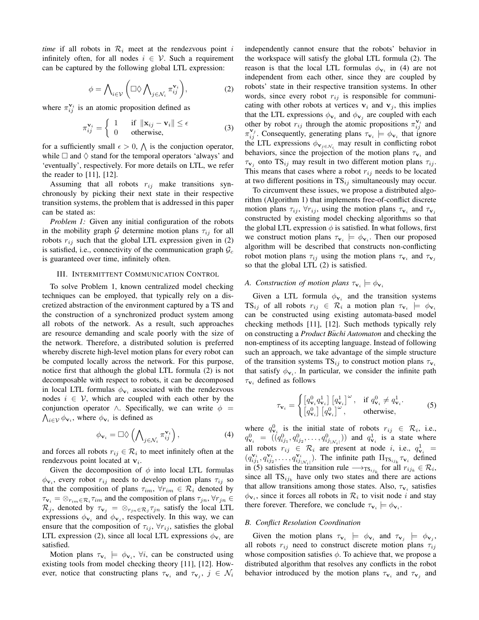*time* if all robots in  $\mathcal{R}_i$  meet at the rendezvous point i infinitely often, for all nodes  $i \in V$ . Such a requirement can be captured by the following global LTL expression:

$$
\phi = \bigwedge_{i \in \mathcal{V}} \left( \Box \Diamond \bigwedge_{j \in \mathcal{N}_i} \pi_{ij}^{\mathbf{v}_i} \right), \tag{2}
$$

where  $\pi_{ij}^{\mathbf{v}_i}$  is an atomic proposition defined as

$$
\pi_{ij}^{\mathbf{v}_i} = \begin{cases} 1 & \text{if } \|\mathbf{x}_{ij} - \mathbf{v}_i\| \le \epsilon \\ 0 & \text{otherwise,} \end{cases}
$$
 (3)

for a sufficiently small  $\epsilon > 0$ ,  $\Lambda$  is the conjuction operator, while  $\Box$  and  $\Diamond$  stand for the temporal operators 'always' and 'eventually', respectively. For more details on LTL, we refer the reader to [11], [12].

Assuming that all robots  $r_{ij}$  make transitions synchronously by picking their next state in their respective transition systems, the problem that is addressed in this paper can be stated as:

*Problem 1:* Given any initial configuration of the robots in the mobility graph G determine motion plans  $\tau_{ij}$  for all robots  $r_{ij}$  such that the global LTL expression given in (2) is satisfied, i.e., connectivity of the communication graph  $\mathcal{G}_c$ is guaranteed over time, infinitely often.

### III. INTERMITTENT COMMUNICATION CONTROL

To solve Problem 1, known centralized model checking techniques can be employed, that typically rely on a discretized abstraction of the environment captured by a TS and the construction of a synchronized product system among all robots of the network. As a result, such approaches are resource demanding and scale poorly with the size of the network. Therefore, a distributed solution is preferred whereby discrete high-level motion plans for every robot can be computed locally across the network. For this purpose, notice first that although the global LTL formula (2) is not decomposable with respect to robots, it can be decomposed in local LTL formulas  $\phi_{v_i}$  associated with the rendezvous nodes  $i \in V$ , which are coupled with each other by the conjunction operator  $\land$ . Specifically, we can write  $\phi =$  $\bigwedge_{i\in\mathcal{V}}\phi_{\mathbf{v}_i}$ , where  $\phi_{\mathbf{v}_i}$  is defined as

$$
\phi_{\mathbf{v}_i} = \Box \Diamond \left( \bigwedge\nolimits_{j \in \mathcal{N}_i} \pi_{ij}^{\mathbf{v}_i} \right),\tag{4}
$$

and forces all robots  $r_{ij} \in \mathcal{R}_i$  to meet infinitely often at the rendezvous point located at  $v_i$ .

Given the decomposition of  $\phi$  into local LTL formulas  $\phi_{\mathbf{v}_i}$ , every robot  $r_{ij}$  needs to develop motion plans  $\tau_{ij}$  so that the composition of plans  $\tau_{im}$ ,  $\forall r_{im} \in \mathcal{R}_i$  denoted by  $\tau_{\mathbf{v}_i} = \otimes_{r_{im} \in \mathcal{R}_i} \tau_{im}$  and the composition of plans  $\tau_{jn}, \forall r_{jn} \in$  $\mathcal{R}_j$ , denoted by  $\tau_{\mathbf{v}_j} = \otimes_{r_{jn} \in \mathcal{R}_j} \tau_{jn}$  satisfy the local LTL expressions  $\phi_{\mathbf{v}_i}$  and  $\phi_{\mathbf{v}_j}$ , respectively. In this way, we can ensure that the composition of  $\tau_{ij}$ ,  $\forall r_{ij}$ , satisfies the global LTL expression (2), since all local LTL expressions  $\phi_{\mathbf{v}_i}$  are satisfied.

Motion plans  $\tau_{v_i} \models \phi_{v_i}, \forall i$ , can be constructed using existing tools from model checking theory [11], [12]. However, notice that constructing plans  $\tau_{\mathbf{v}_i}$  and  $\tau_{\mathbf{v}_j}$ ,  $j \in \mathcal{N}_i$  independently cannot ensure that the robots' behavior in the workspace will satisfy the global LTL formula (2). The reason is that the local LTL formulas  $\phi_{\mathbf{v}_i}$  in (4) are not independent from each other, since they are coupled by robots' state in their respective transition systems. In other words, since every robot  $r_{ij}$  is responsible for communicating with other robots at vertices  $v_i$  and  $v_j$ , this implies that the LTL expressions  $\phi_{\mathbf{v}_i}$  and  $\phi_{\mathbf{v}_j}$  are coupled with each other by robot  $r_{ij}$  through the atomic propositions  $\pi_{ij}^{\mathbf{v}_i}$  and  $\pi_{ij}^{\mathbf{v}_j}$ . Consequently, generating plans  $\tau_{\mathbf{v}_i} \models \phi_{\mathbf{v}_i}$  that ignore the LTL expressions  $\phi_{\mathbf{v}_{j \in \mathcal{N}_i}}$  may result in conflicting robot behaviors, since the projection of the motion plans  $\tau_{v_i}$  and  $\tau_{\mathbf{v}_j}$  onto TS<sub>ij</sub> may result in two different motion plans  $\tau_{ij}$ . This means that cases where a robot  $r_{ij}$  needs to be located at two different positions in  $TS_{ij}$  simultaneously may occur.

To circumvent these issues, we propose a distributed algorithm (Algorithm 1) that implements free-of-conflict discrete motion plans  $\tau_{ij}$ ,  $\forall r_{ij}$ , using the motion plans  $\tau_{\mathbf{v}_i}$  and  $\tau_{\mathbf{v}_j}$ constructed by existing model checking algorithms so that the global LTL expression  $\phi$  is satisfied. In what follows, first we construct motion plans  $\tau_{v_i} \models \phi_{v_i}$ . Then our proposed algorithm will be described that constructs non-conflicting robot motion plans  $\tau_{ij}$  using the motion plans  $\tau_{\mathbf{v}_i}$  and  $\tau_{\mathbf{v}_j}$ so that the global LTL (2) is satisfied.

# *A. Construction of motion plans*  $\tau_{\mathbf{v}_i} \models \phi_{\mathbf{v}_i}$

Given a LTL formula  $\phi_{\mathbf{v}_i}$  and the transition systems  $\text{TS}_{ij}$  of all robots  $r_{ij} \in \mathcal{R}_i$  a motion plan  $\tau_{\mathbf{v}_i} \models \phi_{\mathbf{v}_i}$ can be constructed using existing automata-based model checking methods [11], [12]. Such methods typically rely on constructing a *Product B*¨*uchi Automaton* and checking the non-emptiness of its accepting language. Instead of following such an approach, we take advantage of the simple structure of the transition systems  $TS_{ij}$  to construct motion plans  $\tau_{\mathbf{v}_i}$ that satisfy  $\phi_{\mathbf{v}_i}$ . In particular, we consider the infinite path  $\tau_{\mathbf{v}_i}$  defined as follows

$$
\tau_{\mathbf{v}_{i}} = \begin{cases} \left[q_{\mathbf{v}_{i}}^{0} q_{\mathbf{v}_{i}}^{1}\right] \left[q_{\mathbf{v}_{i}}^{1}\right]^{\omega}, & \text{if } q_{\mathbf{v}_{i}}^{0} \neq q_{\mathbf{v}_{i}}^{1}.\\ \left[q_{\mathbf{v}_{i}}^{0}\right] \left[q_{\mathbf{v}_{i}}^{0}\right]^{\omega}, & \text{otherwise}, \end{cases}
$$
(5)

where  $q_{\mathbf{v}_i}^0$  is the initial state of robots  $r_{ij} \in \mathcal{R}_i$ , i.e.,  $q_{{\bf v}_i}^0 = ((q_{ij_1}^0, q_{ij_2}^0, \ldots, q_{ij_{|N_i|}}^0))$  and  $q_{{\bf v}_i}^1$  is a state where all robots  $r_{ij} \in \mathcal{R}_i$  are present at node i, i.e.,  $q_{\mathbf{v}_i}^1$  =  $(q_{ij_1}^{\mathbf{v}_i}, q_{ij_2}^{\mathbf{v}_i}, \ldots, q_{ij_{|\mathcal{N}_i|}}^{\mathbf{v}_i})$ . The infinite path  $\Pi_{\text{TS}_{ij_k}} \tau_{\mathbf{v}_i}$  defined in (5) satisfies the transition rule  $\longrightarrow_{\text{TS}_{ij_k}}$  for all  $r_{ij_k} \in \mathcal{R}_i$ , since all  $TS_{ijk}$  have only two states and there are actions that allow transitions among those states. Also,  $\tau_{\mathbf{v}_i}$  satisfies  $\phi_{\mathbf{v}_i}$ , since it forces all robots in  $\mathcal{R}_i$  to visit node i and stay there forever. Therefore, we conclude  $\tau_{\mathbf{v}_i} \models \phi_{\mathbf{v}_i}$ .

### *B. Conflict Resolution Coordination*

Given the motion plans  $\tau_{v_i} \models \phi_{v_i}$  and  $\tau_{v_j} \models \phi_{v_j}$ , all robots  $r_{ij}$  need to construct discrete motion plans  $\tau_{ij}$ whose composition satisfies  $\phi$ . To achieve that, we propose a distributed algorithm that resolves any conflicts in the robot behavior introduced by the motion plans  $\tau_{v_i}$  and  $\tau_{v_j}$  and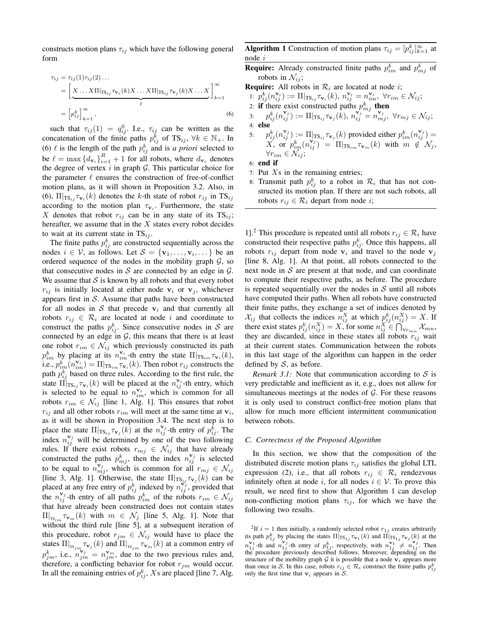constructs motion plans  $\tau_{ij}$  which have the following general form

$$
\tau_{ij} = \tau_{ij}(1)\tau_{ij}(2)\dots
$$
\n
$$
= \left[ \underbrace{X \dots X\Pi |_{\text{TS}_{ij}} \tau_{\mathbf{v}_i}(k)X \dots X\Pi |_{\text{TS}_{ij}} \tau_{\mathbf{v}_j}(k)X \dots X}_{\ell} \right]_{k=1}^{\infty}
$$
\n
$$
= \left[ p_{ij}^k \right]_{k=1}^{\infty},
$$
\n(6)

such that  $\tau_{ij}(1) = q_{ij}^0$ . I.e.,  $\tau_{ij}$  can be written as the concatenation of the finite paths  $p_{ij}^{\dot{k}}$  of TS<sub>ij</sub>,  $\forall k \in \mathbb{N}_+$ . In (6)  $\ell$  is the length of the path  $p_{ij}^k$  and is *a priori* selected to be  $\ell = \max \{d_{\mathbf{v}_i}\}_{i=1}^R + 1$  for all robots, where  $d_{\mathbf{v}_i}$  denotes the degree of vertex  $i$  in graph  $G$ . This particular choice for the parameter  $\ell$  ensures the construction of free-of-conflict motion plans, as it will shown in Proposition 3.2. Also, in (6),  $\Pi|_{\text{TS}_{ij}} \tau_{\mathbf{v}_i}(k)$  denotes the k-th state of robot  $r_{ij}$  in  $\text{TS}_{ij}$ according to the motion plan  $\tau_{\mathbf{v}_i}$ . Furthermore, the state X denotes that robot  $r_{ij}$  can be in any state of its  $TS_{ij}$ ; hereafter, we assume that in the  $X$  states every robot decides to wait at its current state in  $TS_{ij}$ .

The finite paths  $p_{ij}^k$  are constructed sequentially across the nodes  $i \in V$ , as follows. Let  $S = {\mathbf{v}_1, \dots, \mathbf{v}_i, \dots}$  be an ordered sequence of the nodes in the mobility graph  $G$ , so that consecutive nodes in  $S$  are connected by an edge in  $G$ . We assume that  $S$  is known by all robots and that every robot  $r_{ij}$  is initially located at either node  $v_i$  or  $v_j$ , whichever appears first in  $S$ . Assume that paths have been constructed for all nodes in  $S$  that precede  $v_i$  and that currently all robots  $r_{ij} \in \mathcal{R}_i$  are located at node i and coordinate to construct the paths  $p_{ij}^k$ . Since consecutive nodes in S are connected by an edge in  $G$ , this means that there is at least one robot  $r_{im} \in \mathcal{N}_{ij}$  which previously constructed its path  $p_{im}^k$  by placing at its  $n_{im}^{\mathbf{v}_i}$ -th entry the state  $\Pi |_{\text{TS}_{im}} \tau_{\mathbf{v}_i}(k)$ , i.e.,  $p_{im}^k(n_{im}^{\mathbf{v}_i}) = \Pi|_{\text{TS}_{im}} \tau_{\mathbf{v}_i}(k)$ . Then robot  $r_{ij}$  constructs the path  $p_{ij}^k$  based on three rules. According to the first rule, the state  $\prod_{i=1}^{n} \tau_{\mathbf{v}_i}(k)$  will be placed at the  $n_{ij}^{\mathbf{v}_i}$ -th entry, which is selected to be equal to  $n_{im}^{\mathbf{v}_i}$ , which is common for all robots  $r_{im} \in \mathcal{N}_{ij}$  [line 1, Alg. 1]. This ensures that robot  $r_{ij}$  and all other robots  $r_{im}$  will meet at the same time at  $v_i$ , as it will be shown in Proposition 3.4. The next step is to place the state  $\Pi|_{\text{TS}_{ij}} \tau_{\mathbf{v}_j}(k)$  at the  $n_{ij}^{\mathbf{v}_j}$ -th entry of  $p_{ij}^k$ . The index  $n_{ij}^{\mathbf{v}_j}$  will be determined by one of the two following rules. If there exist robots  $r_{mj} \in \mathcal{N}_{ij}$  that have already constructed the paths  $p_{mj}^k$ , then the index  $n_{ij}^{\mathbf{v}_j}$  is selected to be equal to  $n_{mj}^{\mathbf{v}_j}$ , which is common for all  $r_{mj} \in \mathcal{N}_{ij}$ [line 3, Alg. 1]. Otherwise, the state  $\Pi|_{\text{TS}_{ij}} \tau_{\mathbf{v}_j}(k)$  can be placed at any free entry of  $p_{ij}^k$  indexed by  $n_{ij}^{\mathbf{v}_j}$ , provided that the  $n_{ij}^{\mathbf{v}_j}$ -th entry of all paths  $p_{im}^k$  of the robots  $r_{im} \in \mathcal{N}_{ij}$ that have already been constructed does not contain states  $\Pi|_{\text{TS}_{im}}\tau_{\mathbf{v}_m}(k)$  with  $m \in \mathcal{N}_j$  [line 5, Alg. 1]. Note that without the third rule [line 5], at a subsequent iteration of this procedure, robot  $r_{jm} \in \mathcal{N}_{ij}$  would have to place the states  $\Pi|_{\text{TS}_{jm}}\tau_{\mathbf{v}_j}(k)$  and  $\Pi|_{\text{TS}_{jm}}\tau_{\mathbf{v}_m}(k)$  at a common entry of  $p_{jm}^k$ , i.e.,  $n_{jm}^{v_j} = n_{jm}^{v_m}$ , due to the two previous rules and, therefore, a conflicting behavior for robot  $r_{jm}$  would occur. In all the remaining entries of  $p_{ij}^k$ , Xs are placed [line 7, Alg.

**Algorithm 1** Construction of motion plans  $\tau_{ij} = [p_{ij}^k]_{k=1}^{\infty}$  at node i

**Require:** Already constructed finite paths  $p_{im}^k$  and  $p_{mj}^k$  of robots in  $\mathcal{N}_{ij}$ ;

**Require:** All robots in  $\mathcal{R}_i$  are located at node *i*;

1: 
$$
p_{ij}^k(n_{ij}^{\mathbf{v}_i}) := \Pi|_{\text{TS}_{ij}} \tau_{\mathbf{v}_i}(k), n_{ij}^{\mathbf{v}_i} = n_{im}^{\mathbf{v}_i}, \forall r_{im} \in \mathcal{N}_{ij};
$$
  
2: **if** there exist constructed paths  $p_{mj}^k$  **then**

 $\begin{array}{lll} \pi^k_{ij}(n^{\mathbf{v}_j}_{ij}):= \Pi|_{\mathrm{TS}_{ij}}\tau_{\mathbf{v}_j}(\hat{k}), \, n^{\mathbf{v}_j}_{ij}=n^{\mathbf{v}_j}_{mj}, \,\, \forall r_{mj} \in \mathcal{N}_{ij}; \end{array}$ 4: else

5:  $p_{ij}^k(n_{ij}^{\mathbf{v}_j}) := \Pi_{\lfloor \text{TS}_{ij} \tau_{\mathbf{v}_j}(k) \rfloor}$  provided either  $p_{im}^k(n_{ij}^{\mathbf{v}_j}) =$  $X, \text{ or } p_{im}^k(n_{ij}^{\mathbf{v}_j}) = \Pi|_{\text{TS}_{im}} \tau_{\mathbf{v}_m}(k) \text{ with } m \notin \mathcal{N}_j,$  $\forall r_{im} \in \mathcal{N}_{ij};$ 

6: end if

- 7: Put  $Xs$  in the remaining entries;
- 8: Transmit path  $p_{ij}^k$  to a robot in  $\mathcal{R}_i$  that has not constructed its motion plan. If there are not such robots, all robots  $r_{ij} \in \mathcal{R}_i$  depart from node *i*;

1].<sup>2</sup> This procedure is repeated until all robots  $r_{ij} \in \mathcal{R}_i$  have constructed their respective paths  $p_{ij}^k$ . Once this happens, all robots  $r_{ij}$  depart from node  $v_i$  and travel to the node  $v_j$ [line 8, Alg. 1]. At that point, all robots connected to the next node in  $S$  are present at that node, and can coordinate to compute their respective paths, as before. The procedure is repeated sequentially over the nodes in  $S$  until all robots have computed their paths. When all robots have constructed their finite paths, they exchange a set of indices denoted by  $\mathcal{X}_{ij}$  that collects the indices  $n_{ij}^X$  at which  $p_{ij}^k(n_{ij}^X) = X$ . If there exist states  $p_{ij}^k(n_{ij}^X) = X$ , for some  $n_{ij}^X \in \bigcap_{\forall r_{mn}}^{\infty} \mathcal{X}_{mn}$ , they are discarded, since in these states all robots  $r_{ij}$  wait at their current states. Communication between the robots in this last stage of the algorithm can happen in the order defined by  $S$ , as before.

*Remark 3.1:* Note that communication according to  $S$  is very predictable and inefficient as it, e.g., does not allow for simultaneous meetings at the nodes of  $G$ . For these reasons it is only used to construct conflict-free motion plans that allow for much more efficient intermittent communication between robots.

## *C. Correctness of the Proposed Algorithm*

In this section, we show that the composition of the distributed discrete motion plans  $\tau_{ij}$  satisfies the global LTL expression (2), i.e., that all robots  $r_{ij} \in \mathcal{R}_i$  rendezvous infinitely often at node i, for all nodes  $i \in V$ . To prove this result, we need first to show that Algorithm 1 can develop non-conflicting motion plans  $\tau_{ij}$ , for which we have the following two results.

<sup>&</sup>lt;sup>2</sup>If  $i = 1$  then initially, a randomly selected robot  $r_{1j}$  creates arbitrarily its path  $p_{1j}^k$  by placing the states  $\Pi|_{\text{TS}_{1j}} \tau_{\mathbf{v}_1}(k)$  and  $\Pi|_{\text{TS}_{1j}} \tau_{\mathbf{v}_j}(k)$  at the  $n_{1j}^{\mathbf{v}_1}$ -th and  $n_{1j}^{\mathbf{v}_j}$ -th entry of  $p_{1j}^k$ , respectively, with  $n_{1j}^{\mathbf{v}_1} \neq n_{1j}^{\mathbf{v}_j}$ . Then the procedure previously described follows. Moreover, depending on the structure of the mobility graph  $G$  it is possible that a node  $v_i$  appears more than once in S. In this case, robots  $r_{ij} \in \mathcal{R}_i$  construct the finite paths  $p_{ij}^k$ only the first time that  $v_i$  appears in S.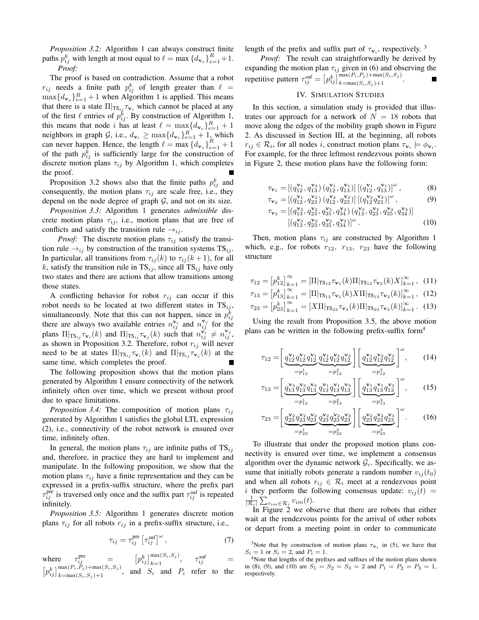*Proposition 3.2:* Algorithm 1 can always construct finite paths  $p_{ij}^k$  with length at most equal to  $\ell = \max \{d_{\mathbf{v}_e}\}_{e=1}^R + 1$ . *Proof:*

The proof is based on contradiction. Assume that a robot  $r_{ij}$  needs a finite path  $p_{ij}^k$  of length greater than  $\ell =$  $\max\{d_{\mathbf{v}_e}\}_{e=1}^R + 1$  when Algorithm 1 is applied. This means that there is a state  $\Pi|_{\text{TS}_{ij}} \tau_{\mathbf{v}_i}$  which cannot be placed at any of the first  $\ell$  entries of  $p_{ij}^k$ . By construction of Algorithm 1, this means that node i has at least  $\ell = \max\{d_{\mathbf{v}_e}\}_{e=1}^R + 1$ neighbors in graph G, i.e.,  $d_{\mathbf{v}_i} \ge \max\{d_{\mathbf{v}_e}\}_{e=1}^R + 1$ , which can never happen. Hence, the length  $\ell = \max \{d_{\mathbf{v}_e}\}_{e=1}^R + 1$ of the path  $p_{ij}^k$  is sufficiently large for the construction of discrete motion plans  $\tau_{ij}$  by Algorithm 1, which completes the proof.

Proposition 3.2 shows also that the finite paths  $p_{ij}^k$  and consequently, the motion plans  $\tau_{ij}$  are scale free, i.e., they depend on the node degree of graph  $G$ , and not on its size.

*Proposition 3.3:* Algorithm 1 generates *admissible* discrete motion plans  $\tau_{ij}$ , i.e., motion plans that are free of conflicts and satisfy the transition rule  $\rightarrow_{ij}$ .

*Proof:* The discrete motion plans  $\tau_{ij}$  satisfy the transition rule  $\rightarrow_{ij}$  by construction of the transition systems TS<sub>ij</sub>. In particular, all transitions from  $\tau_{ij}(k)$  to  $\tau_{ij}(k+1)$ , for all k, satisfy the transition rule in  $TS_{ij}$ , since all  $TS_{ij}$  have only two states and there are actions that allow transitions among those states.

A conflicting behavior for robot  $r_{ij}$  can occur if this robot needs to be located at two different states in  $TS_{ij}$ , simultaneously. Note that this can not happen, since in  $p_{ij}^k$ there are always two available entries  $n_{ij}^{\mathbf{v}_i}$  and  $n_{ij}^{\mathbf{v}_j}$  for the plans  $\Pi|_{\text{TS}_{ij}} \tau_{\mathbf{v}_i}(k)$  and  $\Pi|_{\text{TS}_{ij}} \tau_{\mathbf{v}_j}(k)$  such that  $n_{ij}^{\mathbf{v}_i} \neq n_{ij}^{\mathbf{v}_j}$ , as shown in Proposition 3.2. Therefore, robot  $r_{ij}$  will never need to be at states  $\Pi|_{\mathrm{TS}_{ij}} \tau_{\mathbf{v}_i}(k)$  and  $\Pi|_{\mathrm{TS}_{ij}} \tau_{\mathbf{v}_j}(k)$  at the same time, which completes the proof.

The following proposition shows that the motion plans generated by Algorithm 1 ensure connectivity of the network infinitely often over time, which we present without proof due to space limitations.

*Proposition 3.4:* The composition of motion plans  $\tau_{ij}$ generated by Algorithm 1 satisfies the global LTL expression (2), i.e., connectivity of the robot network is ensured over time, infinitely often.

In general, the motion plans  $\tau_{ij}$  are infinite paths of TS<sub>ij</sub> and, therefore, in practice they are hard to implement and manipulate. In the following proposition, we show that the motion plans  $\tau_{ij}$  have a finite representation and they can be expressed in a prefix-suffix structure, where the prefix part  $\tau_{ij}^{\text{pre}}$  is traversed only once and the suffix part  $\tau_{ij}^{\text{suf}}$  is repeated infinitely.

*Proposition 3.5:* Algorithm 1 generates discrete motion plans  $\tau_{ij}$  for all robots  $r_{ij}$  in a prefix-suffix structure, i.e.,

$$
\tau_{ij} = \tau_{ij}^{\text{pre}} \left[ \tau_{ij}^{\text{surf}} \right]^{\omega}, \tag{7}
$$

where  $\tau_{ij}^{\text{pre}} = [p_{ij}^k]_{k=1}^{\max(S_i, S_j)}, \quad \tau_{ij}^{\text{suf}} =$  $[p_{ij}^k]_{k=\max(S_i,S_j)+1}^{\max(P_i,P_j)+\max(S_i,S_j)}$ , and  $S_i$  and  $P_i$  refer to the length of the prefix and suffix part of  $\tau_{v_i}$ , respectively.<sup>3</sup>

*Proof:* The result can straightforwardly be derived by expanding the motion plan  $\tau_{ij}$  given in (6) and observing the repetitive pattern  $\tau_{ij}^{\text{surf}} = \left[ p_{ij}^k \right]_{k=\max(S_i, S_j)+\max(S_i, S_j)}^{\max(P_i, P_j) + \max(S_i, S_j)}.$ 

# IV. SIMULATION STUDIES

In this section, a simulation study is provided that illustrates our approach for a network of  $N = 18$  robots that move along the edges of the mobility graph shown in Figure 2. As discussed in Section III, at the beginning, all robots  $r_{ij} \in \mathcal{R}_i$ , for all nodes i, construct motion plans  $\tau_{\mathbf{v}_i} \models \phi_{\mathbf{v}_i}$ . For example, for the three leftmost rendezvous points shown in Figure 2, these motion plans have the following form:

$$
\tau_{\mathbf{v}_1} = \left[ \left( q_{12}^{\mathbf{v}_1}, q_{13}^{\mathbf{v}_3} \right) \left( q_{12}^{\mathbf{v}_1}, q_{13}^{\mathbf{v}_1} \right) \right] \left[ \left( q_{12}^{\mathbf{v}_1}, q_{13}^{\mathbf{v}_1} \right) \right]^\omega, \tag{8}
$$

$$
\tau_{\mathbf{v}_2} = [ (q_{12}^{\mathbf{v}_1}, q_{23}^{\mathbf{v}_2}) (q_{12}^{\mathbf{v}_2}, q_{23}^{\mathbf{v}_2}) ] [ (q_{12}^{\mathbf{v}_2} q_{23}^{\mathbf{v}_2}) ]^{\omega} , \qquad (9)
$$

$$
\tau_{\mathbf{v}_3} = [(q_{13}^{\mathbf{v}_3}, q_{23}^{\mathbf{v}_2}, q_{35}^{\mathbf{v}_5}, q_{34}^{\mathbf{v}_4}) (q_{13}^{\mathbf{v}_3}, q_{23}^{\mathbf{v}_3}, q_{35}^{\mathbf{v}_3}, q_{34}^{\mathbf{v}_3})] [(q_{13}^{\mathbf{v}_3}, q_{23}^{\mathbf{v}_3}, q_{35}^{\mathbf{v}_3}, q_{34}^{\mathbf{v}_3})]^{\omega}.
$$
 (10)

Then, motion plans  $\tau_{ij}$  are constructed by Algorithm 1 which, e.g., for robots  $r_{12}$ ,  $r_{13}$ ,  $r_{23}$  have the following structure

$$
\tau_{12} = \left[ p_{12}^k \right]_{k=1}^{\infty} = \left[ \Pi |_{\text{TS}_{12}} \tau_{\mathbf{v}_1}(k) \Pi |_{\text{TS}_{12}} \tau_{\mathbf{v}_2}(k) X \right]_{k=1}^{\infty}, \tag{11}
$$

$$
\tau_{13} = \left[ p_{13}^k \right]_{k=1}^{\infty} = \left[ \Pi |_{\text{TS}_{13}} \tau_{\mathbf{v}_1}(k) X \Pi |_{\text{TS}_{13}} \tau_{\mathbf{v}_3}(k) \right]_{k=1}^{\infty}, \tag{12}
$$

$$
\tau_{23} = \left[ p_{23}^k \right]_{k=1}^{\infty} = \left[ X \Pi \right|_{\text{TS}_{23}} \tau_{\mathbf{v}_2}(k) \Pi \right|_{\text{TS}_{23}} \tau_{\mathbf{v}_3}(k) \big]_{k=1}^{\infty} . \tag{13}
$$

Using the result from Proposition 3.5, the above motion plans can be written in the following prefix-suffix form<sup>4</sup>

$$
\tau_{12} = \left[ \underbrace{q_{12}^{\mathbf{v}_1} q_{12}^{\mathbf{v}_1} q_{12}^{\mathbf{v}_1} q_{12}^{\mathbf{v}_2} q_{12}^{\mathbf{v}_2} q_{12}^{\mathbf{v}_2}}_{=p_{12}^2} \right] \left[ \underbrace{q_{12}^{\mathbf{v}_1} q_{12}^{\mathbf{v}_2} q_{12}^{\mathbf{v}_2}}_{=p_{12}^3} \right]^{\omega}, \qquad (14)
$$

$$
\tau_{13} = \left[ \underbrace{q_{13}^{\mathbf{v}_3} q_{13}^{\mathbf{v}_3} q_{13}^{\mathbf{v}_3}}_{=p_{13}^1} \underbrace{q_{13}^{\mathbf{v}_1} q_{13}^{\mathbf{v}_1} q_{13}^{\mathbf{v}_3}}_{=p_{13}^2} \right] \left[ \underbrace{q_{13}^{\mathbf{v}_1} q_{13}^{\mathbf{v}_1} q_{13}^{\mathbf{v}_3}}_{=p_{13}^3} \right]^{\omega}, \qquad (15)
$$

$$
\tau_{23} = \left[ \underbrace{q_{23}^{\mathbf{v}_2} q_{23}^{\mathbf{v}_2} q_{23}^{\mathbf{v}_2} q_{23}^{\mathbf{v}_2} q_{23}^{\mathbf{v}_2} q_{23}^{\mathbf{v}_3}}_{=p_{23}^2} \right] \left[ \underbrace{q_{23}^{\mathbf{v}_2} q_{23}^{\mathbf{v}_2} q_{23}^{\mathbf{v}_3}}_{=p_{23}^3} \right]^{\omega}.
$$
 (16)

To illustrate that under the proposed motion plans connectivity is ensured over time, we implement a consensus algorithm over the dynamic network  $\mathcal{G}_c$ . Specifically, we assume that initially robots generate a random number  $v_{ij}(t_0)$ and when all robots  $r_{ij} \in \mathcal{R}_i$  meet at a rendezvous point i they perform the following consensus update:  $v_{ij}(t)$  =  $\frac{1}{|\mathcal{R}_i|} \sum_{r_{im} \in \mathcal{R}_i} v_{im}(t)$ .

In Figure 2 we observe that there are robots that either wait at the rendezvous points for the arrival of other robots or depart from a meeting point in order to communicate

<sup>&</sup>lt;sup>3</sup>Note that by construction of motion plans  $\tau_{v_i}$  in (5), we have that  $S_i = 1$  or  $S_i = 2$ , and  $P_i = 1$ .

<sup>4</sup>Note that lengths of the prefixes and suffixes of the motion plans shown in (8), (9), and (10) are  $S_1 = S_2 = S_3 = 2$  and  $P_1 = P_2 = P_3 = 1$ , respectively.